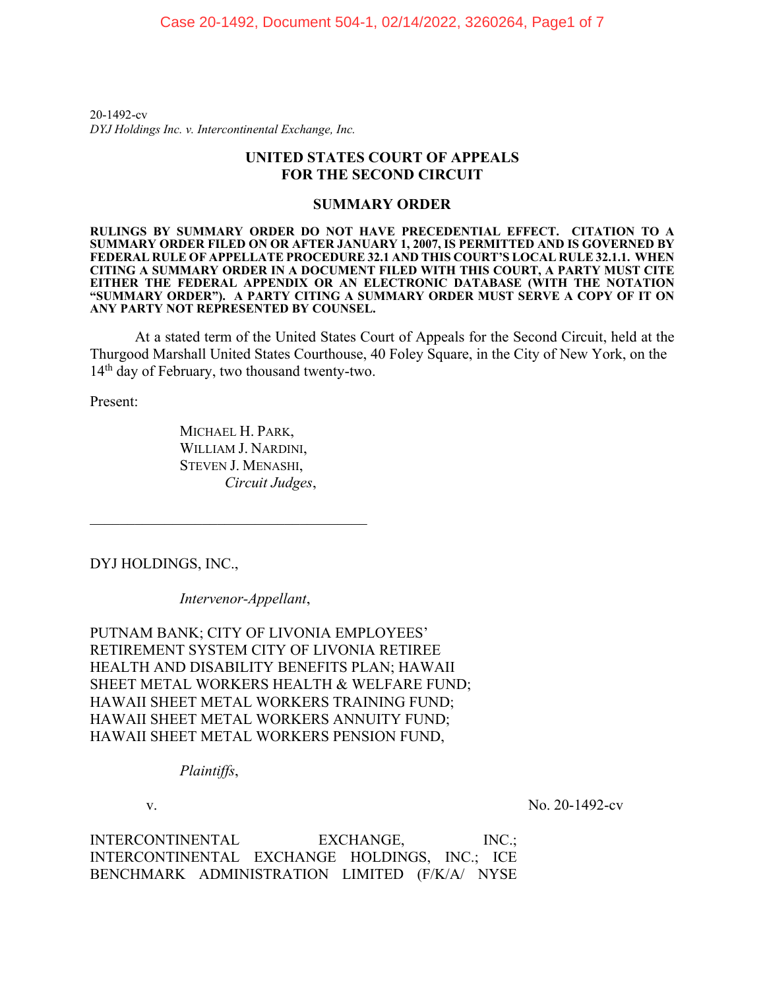20-1492-cv *DYJ Holdings Inc. v. Intercontinental Exchange, Inc.*

## **UNITED STATES COURT OF APPEALS FOR THE SECOND CIRCUIT**

## **SUMMARY ORDER**

**RULINGS BY SUMMARY ORDER DO NOT HAVE PRECEDENTIAL EFFECT. CITATION TO A SUMMARY ORDER FILED ON OR AFTER JANUARY 1, 2007, IS PERMITTED AND IS GOVERNED BY FEDERAL RULE OF APPELLATE PROCEDURE 32.1 AND THIS COURT'S LOCAL RULE 32.1.1. WHEN CITING A SUMMARY ORDER IN A DOCUMENT FILED WITH THIS COURT, A PARTY MUST CITE EITHER THE FEDERAL APPENDIX OR AN ELECTRONIC DATABASE (WITH THE NOTATION "SUMMARY ORDER"). A PARTY CITING A SUMMARY ORDER MUST SERVE A COPY OF IT ON ANY PARTY NOT REPRESENTED BY COUNSEL.** 

At a stated term of the United States Court of Appeals for the Second Circuit, held at the Thurgood Marshall United States Courthouse, 40 Foley Square, in the City of New York, on the 14th day of February, two thousand twenty-two.

Present:

MICHAEL H. PARK, WILLIAM J. NARDINI, STEVEN J. MENASHI, *Circuit Judges*,

\_\_\_\_\_\_\_\_\_\_\_\_\_\_\_\_\_\_\_\_\_\_\_\_\_\_\_\_\_\_\_\_\_\_\_\_\_

DYJ HOLDINGS, INC.,

*Intervenor-Appellant*,

PUTNAM BANK; CITY OF LIVONIA EMPLOYEES' RETIREMENT SYSTEM CITY OF LIVONIA RETIREE HEALTH AND DISABILITY BENEFITS PLAN; HAWAII SHEET METAL WORKERS HEALTH & WELFARE FUND; HAWAII SHEET METAL WORKERS TRAINING FUND; HAWAII SHEET METAL WORKERS ANNUITY FUND; HAWAII SHEET METAL WORKERS PENSION FUND,

*Plaintiffs*,

v. No. 20-1492-cv

INTERCONTINENTAL EXCHANGE, INC.: INTERCONTINENTAL EXCHANGE HOLDINGS, INC.; ICE BENCHMARK ADMINISTRATION LIMITED (F/K/A/ NYSE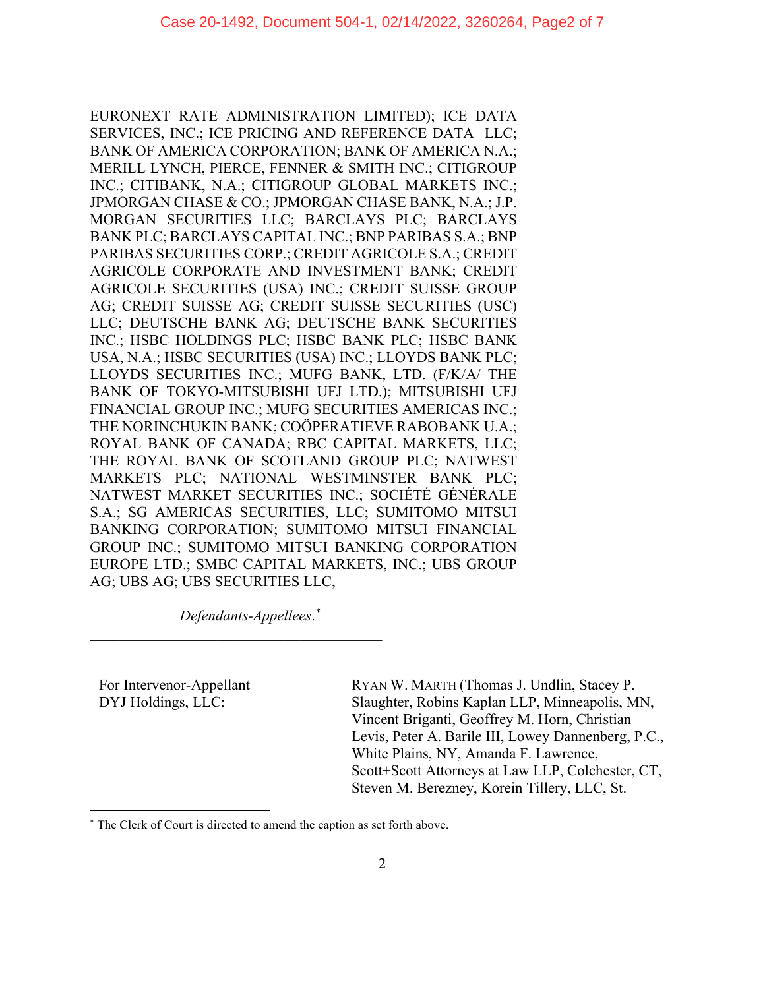EURONEXT RATE ADMINISTRATION LIMITED); ICE DATA SERVICES, INC.; ICE PRICING AND REFERENCE DATA LLC; BANK OF AMERICA CORPORATION; BANK OF AMERICA N.A.; MERILL LYNCH, PIERCE, FENNER & SMITH INC.; CITIGROUP INC.; CITIBANK, N.A.; CITIGROUP GLOBAL MARKETS INC.; JPMORGAN CHASE & CO.; JPMORGAN CHASE BANK, N.A.; J.P. MORGAN SECURITIES LLC; BARCLAYS PLC; BARCLAYS BANK PLC; BARCLAYS CAPITAL INC.; BNP PARIBAS S.A.; BNP PARIBAS SECURITIES CORP.; CREDIT AGRICOLE S.A.; CREDIT AGRICOLE CORPORATE AND INVESTMENT BANK; CREDIT AGRICOLE SECURITIES (USA) INC.; CREDIT SUISSE GROUP AG; CREDIT SUISSE AG; CREDIT SUISSE SECURITIES (USC) LLC; DEUTSCHE BANK AG; DEUTSCHE BANK SECURITIES INC.; HSBC HOLDINGS PLC; HSBC BANK PLC; HSBC BANK USA, N.A.; HSBC SECURITIES (USA) INC.; LLOYDS BANK PLC; LLOYDS SECURITIES INC.; MUFG BANK, LTD. (F/K/A/ THE BANK OF TOKYO-MITSUBISHI UFJ LTD.); MITSUBISHI UFJ FINANCIAL GROUP INC.; MUFG SECURITIES AMERICAS INC.; THE NORINCHUKIN BANK; COÖPERATIEVE RABOBANK U.A.; ROYAL BANK OF CANADA; RBC CAPITAL MARKETS, LLC; THE ROYAL BANK OF SCOTLAND GROUP PLC; NATWEST MARKETS PLC; NATIONAL WESTMINSTER BANK PLC; NATWEST MARKET SECURITIES INC.; SOCIÉTÉ GÉNÉRALE S.A.; SG AMERICAS SECURITIES, LLC; SUMITOMO MITSUI BANKING CORPORATION; SUMITOMO MITSUI FINANCIAL GROUP INC.; SUMITOMO MITSUI BANKING CORPORATION EUROPE LTD.; SMBC CAPITAL MARKETS, INC.; UBS GROUP AG; UBS AG; UBS SECURITIES LLC,

*Defendants-Appellees*. [\\*](#page-1-0)

\_\_\_\_\_\_\_\_\_\_\_\_\_\_\_\_\_\_\_\_\_\_\_\_\_\_\_\_\_\_\_\_\_\_\_\_\_\_\_

For Intervenor-Appellant DYJ Holdings, LLC:

RYAN W. MARTH (Thomas J. Undlin, Stacey P. Slaughter, Robins Kaplan LLP, Minneapolis, MN, Vincent Briganti, Geoffrey M. Horn, Christian Levis, Peter A. Barile III, Lowey Dannenberg, P.C., White Plains, NY, Amanda F. Lawrence, Scott+Scott Attorneys at Law LLP, Colchester, CT, Steven M. Berezney, Korein Tillery, LLC, St.

<span id="page-1-0"></span><sup>\*</sup> The Clerk of Court is directed to amend the caption as set forth above.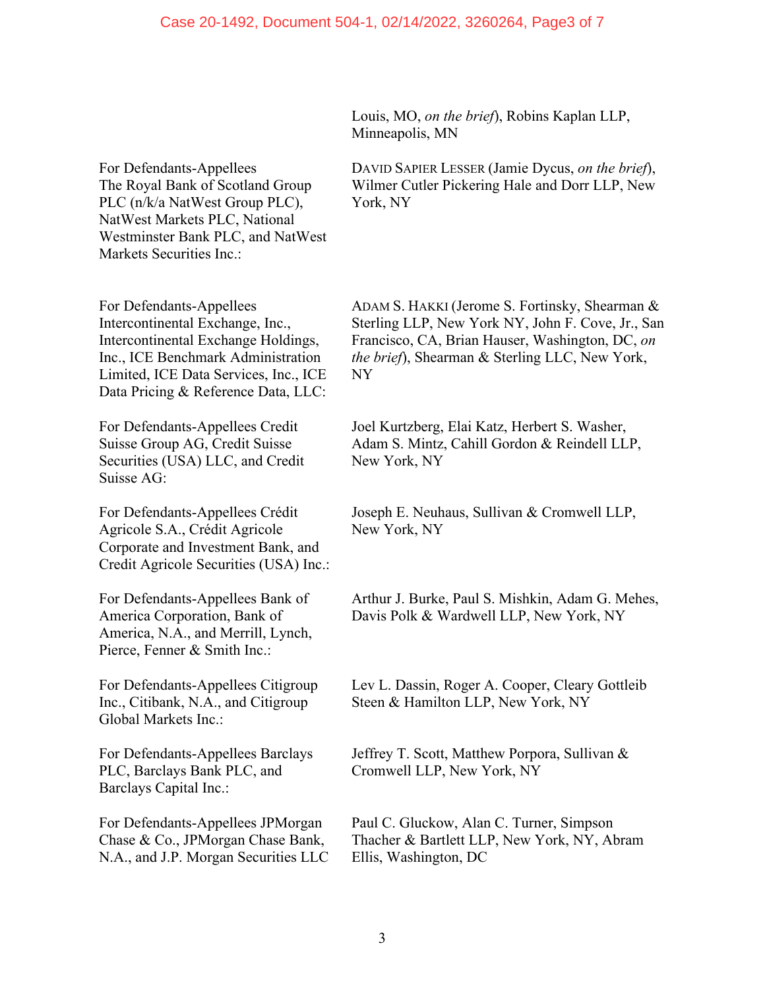For Defendants-Appellees The Royal Bank of Scotland Group PLC (n/k/a NatWest Group PLC), NatWest Markets PLC, National Westminster Bank PLC, and NatWest Markets Securities Inc.:

For Defendants-Appellees Intercontinental Exchange, Inc., Intercontinental Exchange Holdings, Inc., ICE Benchmark Administration Limited, ICE Data Services, Inc., ICE Data Pricing & Reference Data, LLC:

For Defendants-Appellees Credit Suisse Group AG, Credit Suisse Securities (USA) LLC, and Credit Suisse AG:

For Defendants-Appellees Crédit Agricole S.A., Crédit Agricole Corporate and Investment Bank, and Credit Agricole Securities (USA) Inc.:

For Defendants-Appellees Bank of America Corporation, Bank of America, N.A., and Merrill, Lynch, Pierce, Fenner & Smith Inc.:

For Defendants-Appellees Citigroup Inc., Citibank, N.A., and Citigroup Global Markets Inc.:

For Defendants-Appellees Barclays PLC, Barclays Bank PLC, and Barclays Capital Inc.:

For Defendants-Appellees JPMorgan Chase & Co., JPMorgan Chase Bank, N.A., and J.P. Morgan Securities LLC Louis, MO, *on the brief*), Robins Kaplan LLP, Minneapolis, MN

DAVID SAPIER LESSER (Jamie Dycus, *on the brief*), Wilmer Cutler Pickering Hale and Dorr LLP, New York, NY

ADAM S. HAKKI (Jerome S. Fortinsky, Shearman & Sterling LLP, New York NY, John F. Cove, Jr., San Francisco, CA, Brian Hauser, Washington, DC, *on the brief*), Shearman & Sterling LLC, New York, NY

Joel Kurtzberg, Elai Katz, Herbert S. Washer, Adam S. Mintz, Cahill Gordon & Reindell LLP, New York, NY

Joseph E. Neuhaus, Sullivan & Cromwell LLP, New York, NY

Arthur J. Burke, Paul S. Mishkin, Adam G. Mehes, Davis Polk & Wardwell LLP, New York, NY

Lev L. Dassin, Roger A. Cooper, Cleary Gottleib Steen & Hamilton LLP, New York, NY

Jeffrey T. Scott, Matthew Porpora, Sullivan & Cromwell LLP, New York, NY

Paul C. Gluckow, Alan C. Turner, Simpson Thacher & Bartlett LLP, New York, NY, Abram Ellis, Washington, DC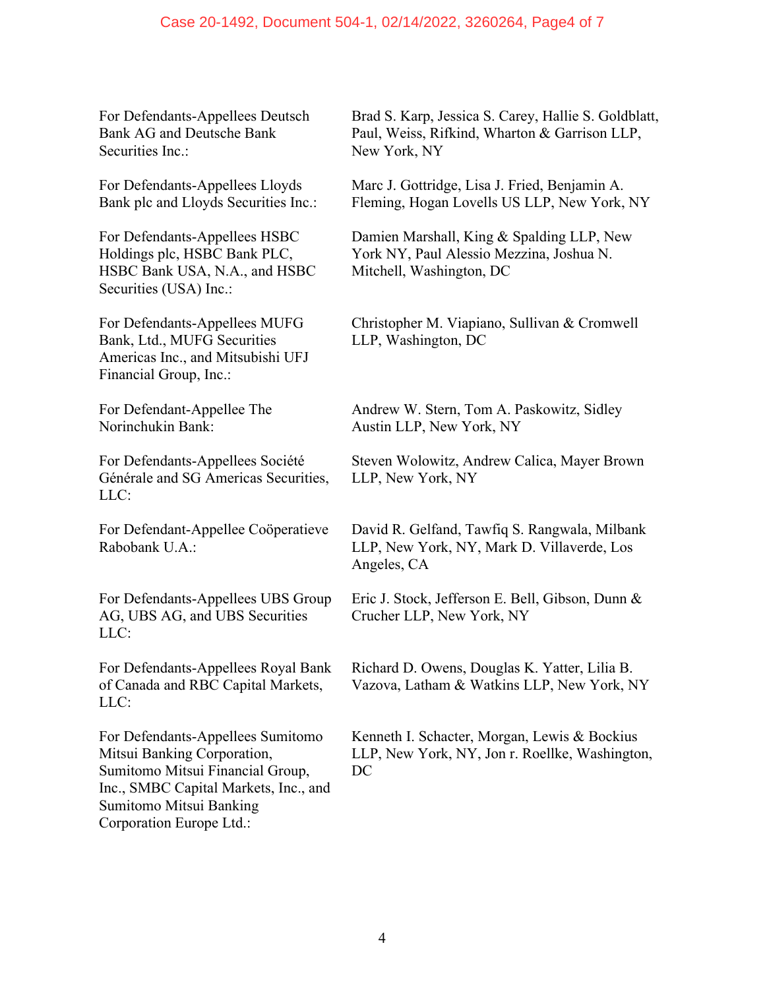For Defendants-Appellees Deutsch Bank AG and Deutsche Bank Securities Inc.:

For Defendants-Appellees Lloyds Bank plc and Lloyds Securities Inc.:

For Defendants-Appellees HSBC Holdings plc, HSBC Bank PLC, HSBC Bank USA, N.A., and HSBC Securities (USA) Inc.:

For Defendants-Appellees MUFG Bank, Ltd., MUFG Securities Americas Inc., and Mitsubishi UFJ Financial Group, Inc.:

For Defendant-Appellee The Norinchukin Bank:

For Defendants-Appellees Société Générale and SG Americas Securities, LLC:

For Defendant-Appellee Coöperatieve Rabobank U.A.:

For Defendants-Appellees UBS Group AG, UBS AG, and UBS Securities LLC:

For Defendants-Appellees Royal Bank of Canada and RBC Capital Markets, LLC:

For Defendants-Appellees Sumitomo Mitsui Banking Corporation, Sumitomo Mitsui Financial Group, Inc., SMBC Capital Markets, Inc., and Sumitomo Mitsui Banking Corporation Europe Ltd.:

Brad S. Karp, Jessica S. Carey, Hallie S. Goldblatt, Paul, Weiss, Rifkind, Wharton & Garrison LLP, New York, NY

Marc J. Gottridge, Lisa J. Fried, Benjamin A. Fleming, Hogan Lovells US LLP, New York, NY

Damien Marshall, King & Spalding LLP, New York NY, Paul Alessio Mezzina, Joshua N. Mitchell, Washington, DC

Christopher M. Viapiano, Sullivan & Cromwell LLP, Washington, DC

Andrew W. Stern, Tom A. Paskowitz, Sidley Austin LLP, New York, NY

Steven Wolowitz, Andrew Calica, Mayer Brown LLP, New York, NY

David R. Gelfand, Tawfiq S. Rangwala, Milbank LLP, New York, NY, Mark D. Villaverde, Los Angeles, CA

Eric J. Stock, Jefferson E. Bell, Gibson, Dunn & Crucher LLP, New York, NY

Richard D. Owens, Douglas K. Yatter, Lilia B. Vazova, Latham & Watkins LLP, New York, NY

Kenneth I. Schacter, Morgan, Lewis & Bockius LLP, New York, NY, Jon r. Roellke, Washington, DC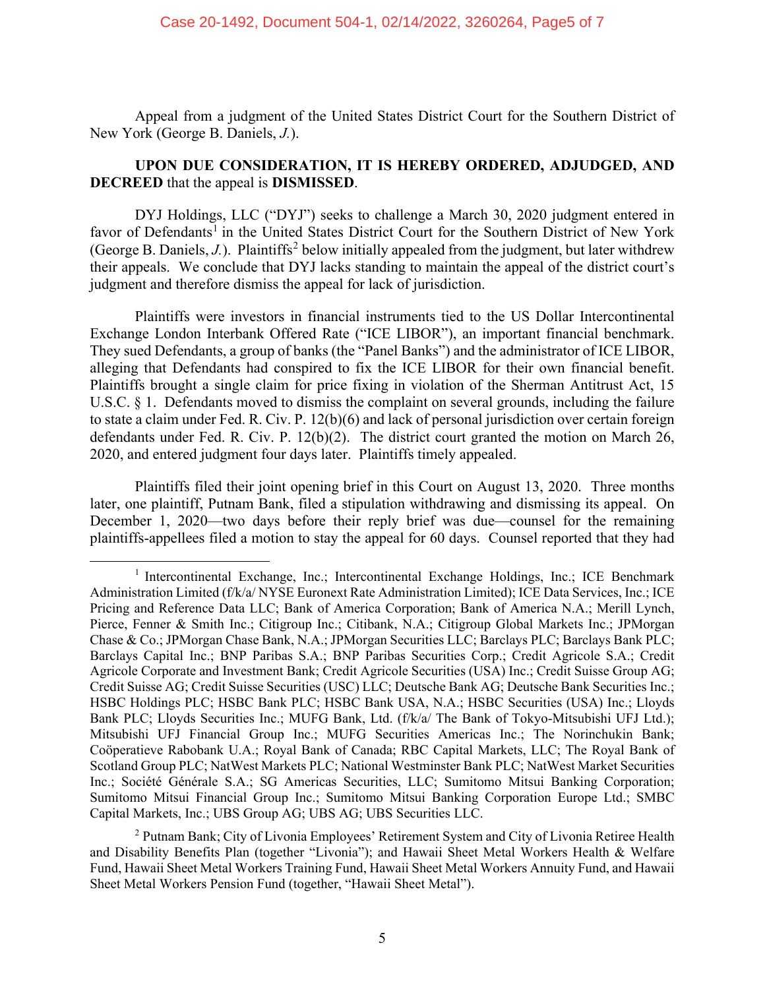Appeal from a judgment of the United States District Court for the Southern District of New York (George B. Daniels, *J.*).

## **UPON DUE CONSIDERATION, IT IS HEREBY ORDERED, ADJUDGED, AND DECREED** that the appeal is **DISMISSED**.

DYJ Holdings, LLC ("DYJ") seeks to challenge a March 30, 2020 judgment entered in favor of Defendants<sup>[1](#page-4-0)</sup> in the United States District Court for the Southern District of New York (George B. Daniels, *J.*). Plaintiffs<sup>[2](#page-4-1)</sup> below initially appealed from the judgment, but later withdrew their appeals. We conclude that DYJ lacks standing to maintain the appeal of the district court's judgment and therefore dismiss the appeal for lack of jurisdiction.

Plaintiffs were investors in financial instruments tied to the US Dollar Intercontinental Exchange London Interbank Offered Rate ("ICE LIBOR"), an important financial benchmark. They sued Defendants, a group of banks (the "Panel Banks") and the administrator of ICE LIBOR, alleging that Defendants had conspired to fix the ICE LIBOR for their own financial benefit. Plaintiffs brought a single claim for price fixing in violation of the Sherman Antitrust Act, 15 U.S.C. § 1. Defendants moved to dismiss the complaint on several grounds, including the failure to state a claim under Fed. R. Civ. P. 12(b)(6) and lack of personal jurisdiction over certain foreign defendants under Fed. R. Civ. P. 12(b)(2). The district court granted the motion on March 26, 2020, and entered judgment four days later. Plaintiffs timely appealed.

Plaintiffs filed their joint opening brief in this Court on August 13, 2020. Three months later, one plaintiff, Putnam Bank, filed a stipulation withdrawing and dismissing its appeal. On December 1, 2020—two days before their reply brief was due—counsel for the remaining plaintiffs-appellees filed a motion to stay the appeal for 60 days. Counsel reported that they had

<span id="page-4-0"></span><sup>1</sup> Intercontinental Exchange, Inc.; Intercontinental Exchange Holdings, Inc.; ICE Benchmark Administration Limited (f/k/a/ NYSE Euronext Rate Administration Limited); ICE Data Services, Inc.; ICE Pricing and Reference Data LLC; Bank of America Corporation; Bank of America N.A.; Merill Lynch, Pierce, Fenner & Smith Inc.; Citigroup Inc.; Citibank, N.A.; Citigroup Global Markets Inc.; JPMorgan Chase & Co.; JPMorgan Chase Bank, N.A.; JPMorgan Securities LLC; Barclays PLC; Barclays Bank PLC; Barclays Capital Inc.; BNP Paribas S.A.; BNP Paribas Securities Corp.; Credit Agricole S.A.; Credit Agricole Corporate and Investment Bank; Credit Agricole Securities (USA) Inc.; Credit Suisse Group AG; Credit Suisse AG; Credit Suisse Securities (USC) LLC; Deutsche Bank AG; Deutsche Bank Securities Inc.; HSBC Holdings PLC; HSBC Bank PLC; HSBC Bank USA, N.A.; HSBC Securities (USA) Inc.; Lloyds Bank PLC; Lloyds Securities Inc.; MUFG Bank, Ltd. (f/k/a/ The Bank of Tokyo-Mitsubishi UFJ Ltd.); Mitsubishi UFJ Financial Group Inc.; MUFG Securities Americas Inc.; The Norinchukin Bank; Coöperatieve Rabobank U.A.; Royal Bank of Canada; RBC Capital Markets, LLC; The Royal Bank of Scotland Group PLC; NatWest Markets PLC; National Westminster Bank PLC; NatWest Market Securities Inc.; Société Générale S.A.; SG Americas Securities, LLC; Sumitomo Mitsui Banking Corporation; Sumitomo Mitsui Financial Group Inc.; Sumitomo Mitsui Banking Corporation Europe Ltd.; SMBC Capital Markets, Inc.; UBS Group AG; UBS AG; UBS Securities LLC.

<span id="page-4-1"></span><sup>&</sup>lt;sup>2</sup> Putnam Bank; City of Livonia Employees' Retirement System and City of Livonia Retiree Health and Disability Benefits Plan (together "Livonia"); and Hawaii Sheet Metal Workers Health & Welfare Fund, Hawaii Sheet Metal Workers Training Fund, Hawaii Sheet Metal Workers Annuity Fund, and Hawaii Sheet Metal Workers Pension Fund (together, "Hawaii Sheet Metal").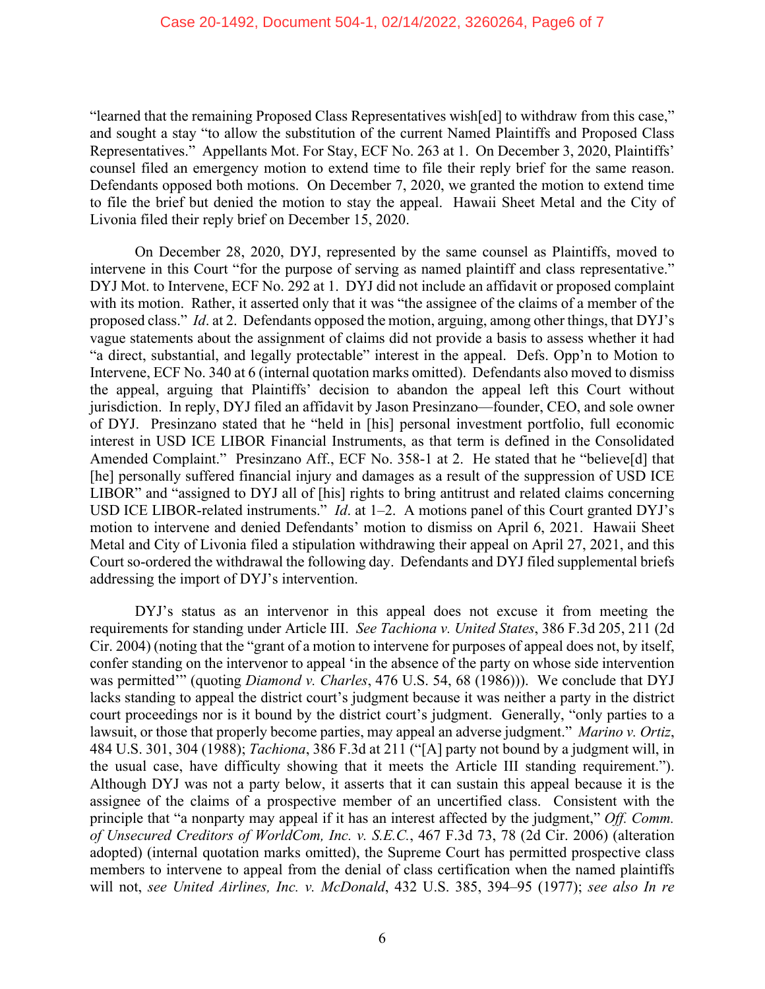"learned that the remaining Proposed Class Representatives wish[ed] to withdraw from this case," and sought a stay "to allow the substitution of the current Named Plaintiffs and Proposed Class Representatives." Appellants Mot. For Stay, ECF No. 263 at 1. On December 3, 2020, Plaintiffs' counsel filed an emergency motion to extend time to file their reply brief for the same reason. Defendants opposed both motions. On December 7, 2020, we granted the motion to extend time to file the brief but denied the motion to stay the appeal. Hawaii Sheet Metal and the City of Livonia filed their reply brief on December 15, 2020.

On December 28, 2020, DYJ, represented by the same counsel as Plaintiffs, moved to intervene in this Court "for the purpose of serving as named plaintiff and class representative." DYJ Mot. to Intervene, ECF No. 292 at 1. DYJ did not include an affidavit or proposed complaint with its motion. Rather, it asserted only that it was "the assignee of the claims of a member of the proposed class." *Id*. at 2. Defendants opposed the motion, arguing, among other things, that DYJ's vague statements about the assignment of claims did not provide a basis to assess whether it had "a direct, substantial, and legally protectable" interest in the appeal. Defs. Opp'n to Motion to Intervene, ECF No. 340 at 6 (internal quotation marks omitted). Defendants also moved to dismiss the appeal, arguing that Plaintiffs' decision to abandon the appeal left this Court without jurisdiction. In reply, DYJ filed an affidavit by Jason Presinzano—founder, CEO, and sole owner of DYJ. Presinzano stated that he "held in [his] personal investment portfolio, full economic interest in USD ICE LIBOR Financial Instruments, as that term is defined in the Consolidated Amended Complaint." Presinzano Aff., ECF No. 358-1 at 2. He stated that he "believe[d] that [he] personally suffered financial injury and damages as a result of the suppression of USD ICE LIBOR" and "assigned to DYJ all of [his] rights to bring antitrust and related claims concerning USD ICE LIBOR-related instruments." *Id.* at 1–2. A motions panel of this Court granted DYJ's motion to intervene and denied Defendants' motion to dismiss on April 6, 2021. Hawaii Sheet Metal and City of Livonia filed a stipulation withdrawing their appeal on April 27, 2021, and this Court so-ordered the withdrawal the following day. Defendants and DYJ filed supplemental briefs addressing the import of DYJ's intervention.

DYJ's status as an intervenor in this appeal does not excuse it from meeting the requirements for standing under Article III. *See Tachiona v. United States*, 386 F.3d 205, 211 (2d Cir. 2004) (noting that the "grant of a motion to intervene for purposes of appeal does not, by itself, confer standing on the intervenor to appeal 'in the absence of the party on whose side intervention was permitted'" (quoting *Diamond v. Charles*, 476 U.S. 54, 68 (1986))). We conclude that DYJ lacks standing to appeal the district court's judgment because it was neither a party in the district court proceedings nor is it bound by the district court's judgment. Generally, "only parties to a lawsuit, or those that properly become parties, may appeal an adverse judgment." *Marino v. Ortiz*, 484 U.S. 301, 304 (1988); *Tachiona*, 386 F.3d at 211 ("[A] party not bound by a judgment will, in the usual case, have difficulty showing that it meets the Article III standing requirement."). Although DYJ was not a party below, it asserts that it can sustain this appeal because it is the assignee of the claims of a prospective member of an uncertified class. Consistent with the principle that "a nonparty may appeal if it has an interest affected by the judgment," *Off. Comm. of Unsecured Creditors of WorldCom, Inc. v. S.E.C.*, 467 F.3d 73, 78 (2d Cir. 2006) (alteration adopted) (internal quotation marks omitted), the Supreme Court has permitted prospective class members to intervene to appeal from the denial of class certification when the named plaintiffs will not, *see United Airlines, Inc. v. McDonald*, 432 U.S. 385, 394–95 (1977); *see also In re*